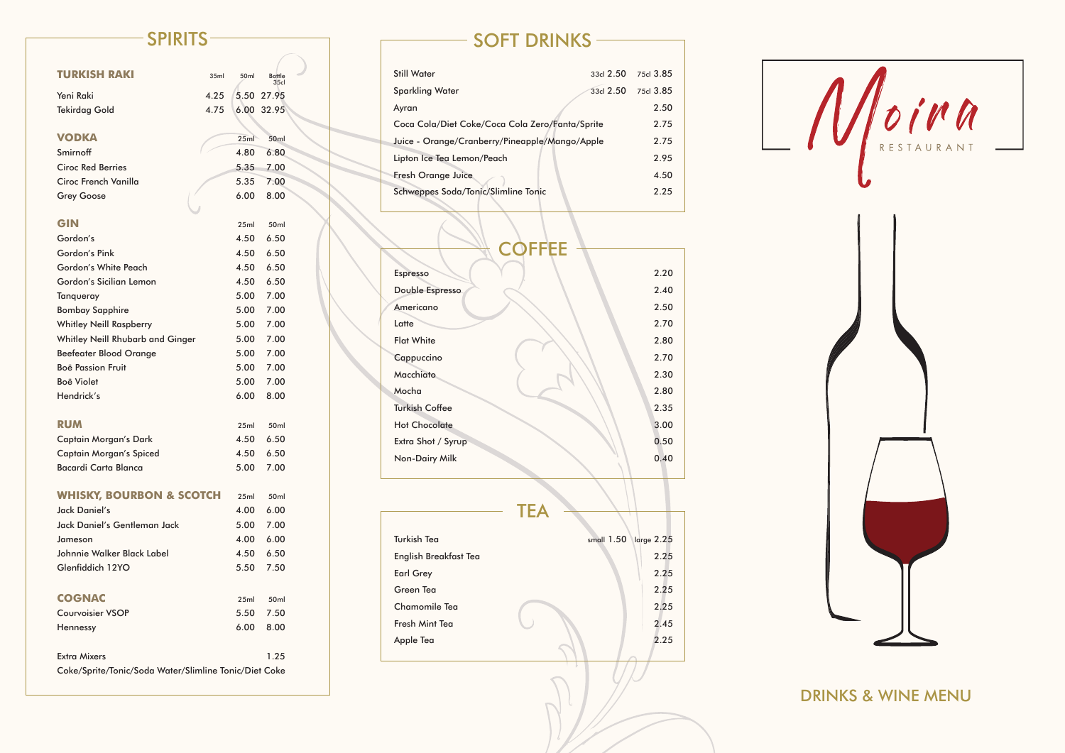## DRINKS & WINE MENU

| <b>TURKISH RAKI</b>                                   | 35ml | 50ml | <b>Bottle</b><br>35 <sub>cl</sub> |  |
|-------------------------------------------------------|------|------|-----------------------------------|--|
| Yeni Raki                                             | 4.25 | 5.50 | 27.95                             |  |
| <b>Tekirdag Gold</b>                                  | 4.75 | 6.00 | 32.95                             |  |
|                                                       |      |      |                                   |  |
| VODKA                                                 |      | 25ml | 50 <sub>ml</sub>                  |  |
| Smirnoff                                              |      | 4.80 | 6.80                              |  |
| <b>Ciroc Red Berries</b>                              |      | 5.35 | 7.00                              |  |
| Ciroc French Vanilla                                  |      | 5.35 | 7.00                              |  |
| <b>Grey Goose</b>                                     |      | 6.00 | 8.00                              |  |
|                                                       |      |      |                                   |  |
| <b>GIN</b>                                            |      | 25ml | 50 <sub>ml</sub>                  |  |
| Gordon's                                              |      | 4.50 | 6.50                              |  |
| Gordon's Pink                                         |      | 4.50 | 6.50                              |  |
| <b>Gordon's White Peach</b>                           |      | 4.50 | 6.50                              |  |
| Gordon's Sicilian Lemon                               |      | 4.50 | 6.50                              |  |
| Tanqueray                                             |      | 5.00 | 7.00                              |  |
| <b>Bombay Sapphire</b>                                |      | 5.00 | 7.00                              |  |
| <b>Whitley Neill Raspberry</b>                        |      | 5.00 | 7.00                              |  |
| <b>Whitley Neill Rhubarb and Ginger</b>               |      | 5.00 | 7.00                              |  |
| <b>Beefeater Blood Orange</b>                         |      | 5.00 | 7.00                              |  |
| <b>Boë Passion Fruit</b>                              |      | 5.00 | 7.00                              |  |
| <b>Boë Violet</b>                                     |      | 5.00 | 7.00                              |  |
| Hendrick's                                            |      | 6.00 | 8.00                              |  |
|                                                       |      |      |                                   |  |
| <b>RUM</b>                                            |      | 25ml | 50 <sub>ml</sub>                  |  |
| <b>Captain Morgan's Dark</b>                          |      | 4.50 | 6.50                              |  |
| Captain Morgan's Spiced                               |      | 4.50 | 6.50                              |  |
| Bacardi Carta Blanca                                  |      | 5.00 | 7.00                              |  |
|                                                       |      |      |                                   |  |
| <b>WHISKY, BOURBON &amp; SCOTCH</b>                   |      | 25ml | 50 <sub>ml</sub>                  |  |
| Jack Daniel's                                         |      | 4.00 | 6.00                              |  |
| Jack Daniel's Gentleman Jack                          |      | 5.00 | 7.00                              |  |
| Jameson                                               |      | 4.00 | 6.00                              |  |
| Johnnie Walker Black Label                            |      | 4.50 | 6.50                              |  |
| Glenfiddich 12YO                                      |      | 5.50 | 7.50                              |  |
| <b>COGNAC</b>                                         |      | 25ml | 50 <sub>ml</sub>                  |  |
| <b>Courvoisier VSOP</b>                               |      | 5.50 | 7.50                              |  |
| Hennessy                                              |      | 6.00 | 8.00                              |  |
|                                                       |      |      |                                   |  |
| <b>Extra Mixers</b>                                   |      |      | 1.25                              |  |
| Coke/Sprite/Tonic/Soda Water/Slimline Tonic/Diet Coke |      |      |                                   |  |

## SPIRITS SOFT DRINKS

| <b>Still Water</b>                              | 33d 2.50  | 75cl 3.85 |
|-------------------------------------------------|-----------|-----------|
| <b>Sparkling Water</b>                          | 33cl 2.50 | 75cl 3.85 |
| Ayran                                           |           | 2.50      |
| Coca Cola/Diet Coke/Coca Cola Zero/Fanta/Sprite |           | 2.75      |
| Juice - Orange/Cranberry/Pineapple/Mango/Apple  |           | 2.75      |
| Lipton Ice Tea Lemon/Peach                      |           | 2.95      |
| <b>Fresh Orange Juice</b>                       |           | 4.50      |
| Schweppes Soda/Tonic/Slimline Tonic             |           | 2.25      |

| <b>COFFEE</b>         |      |
|-----------------------|------|
|                       |      |
| <b>Espresso</b>       | 2.20 |
| Double Espresso       | 2.40 |
| Americano             | 2.50 |
| Latte                 | 2.70 |
| <b>Flat White</b>     | 2.80 |
| Cappuccino            | 2.70 |
| Macchiato             | 2.30 |
| Mocha                 | 2.80 |
| <b>Turkish Coffee</b> | 2.35 |
| <b>Hot Chocolate</b>  | 3.00 |
| Extra Shot / Syrup    | 0.50 |
| Non-Dairy Milk        | 0.40 |
|                       |      |

|                       | TEA                      |      |
|-----------------------|--------------------------|------|
|                       |                          |      |
| <b>Turkish Tea</b>    | small 1.50<br>large 2.25 |      |
| English Breakfast Tea |                          | 2.25 |
| <b>Earl Grey</b>      |                          | 2.25 |
| Green Tea             |                          | 2.25 |
| <b>Chamomile Tea</b>  |                          | 2.25 |
| Fresh Mint Tea        |                          | 2.45 |
| Apple Tea             |                          | 2.25 |
|                       |                          |      |